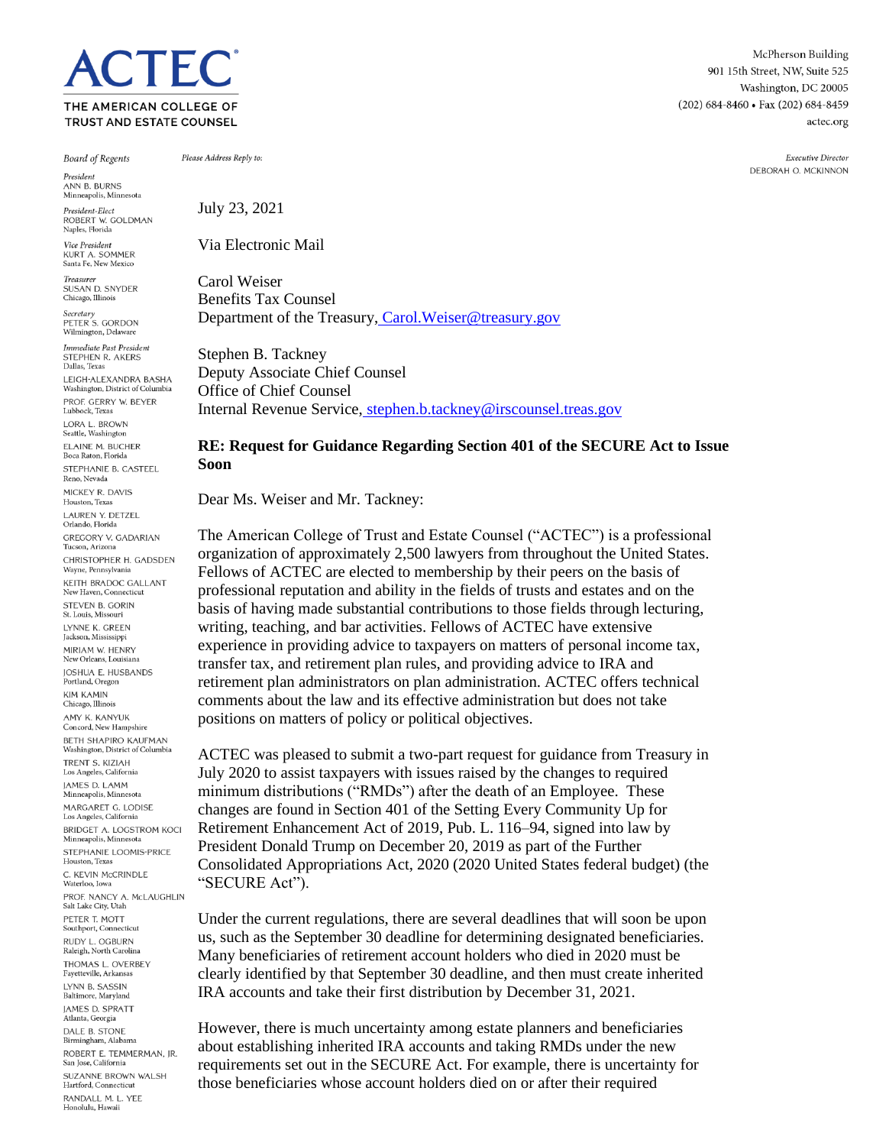**TEC** THE AMERICAN COLLEGE OF TRUST AND ESTATE COUNSEL

**Board of Regents** 

President ANN R. BURNS Minneapolis, Minn

President-Elect ROBERT W. GOLDMAN Naples, Florida

Vice President **KURT A. SOMMER** Santa Fe, New Mexico

Treasurer SUSAN D. SNYDER Chicago, Illinois Secretary<br>PETER S. GORDON

Wilmington, Delaware Immediate Past President

STEPHEN R. AKERS Dallas, Texas LEIGH-ALEXANDRA BASHA Washington, District of Columbia PROF. GERRY W. BEYER Lubbock, Texas LORA L. BROWN Seattle, Washington ELAINE M. BUCHER Boca Raton, Florida STEPHANIE B. CASTEEL Reno, Nevada MICKEY R. DAVIS Houston, Texas LAUREN Y. DETZEL Orlando, Florida **GREGORY V. GADARIAN** Tucson, Arizona CHRISTOPHER H. GADSDEN Wayne, Pennsylvania KEITH BRADOC GALLANT New Haven, Connecticut STEVEN B. GORIN St. Louis, Missour LYNNE K. GREEN Jackson, Mississippi MIRIAM W. HENRY New Orleans, Louisiana JOSHUA E. HUSBANDS Portland, Oregon **KIM KAMIN** Chicago, Illinois AMY K. KANYUK Concord, New Hampshire **BETH SHAPIRO KAUFMAN** Washington, District of Columbia TRENT S. KIZIAH Los Angeles, California **IAMES D. LAMM** .<br>Minneapolis, Minnesota MARGARET G. LODISE Los Angeles, California BRIDGET A. LOGSTROM KOCI Minneapolis, Min STEPHANIE LOOMIS-PRICE Houston, Texas C. KEVIN McCRINDLE Waterloo, Iowa PROF. NANCY A. McLAUGHLIN Salt Lake City, Utah PETER T. MOTT Southport, Connecticut RUDY L. OGBURN Raleigh, North Carolina THOMAS L. OVERBEY Fayetteville, Arkansas LYNN B. SASSIN Baltimore, Maryland **IAMES D. SPRATT** Atlanta, Georgia DALE B. STONE Birmingham, Alabama ROBERT E. TEMMERMAN, JR. San Jose, California SUZANNE BROWN WALSH Hartford, Connecticut RANDALL M. L. YEE Honolulu, Hawaii

Please Address Reply to:

July 23, 2021

Via Electronic Mail

Carol Weiser Benefits Tax Counsel Department of the Treasury, Carol. Weiser@treasury.gov

Stephen B. Tackney Deputy Associate Chief Counsel Office of Chief Counsel Internal Revenue Service, [stephen.b.tackney@irscounsel.treas.gov](mailto:stephen.b.tackney@irscounsel.treas.gov)

## **RE: Request for Guidance Regarding Section 401 of the SECURE Act to Issue Soon**

Dear Ms. Weiser and Mr. Tackney:

The American College of Trust and Estate Counsel ("ACTEC") is a professional organization of approximately 2,500 lawyers from throughout the United States. Fellows of ACTEC are elected to membership by their peers on the basis of professional reputation and ability in the fields of trusts and estates and on the basis of having made substantial contributions to those fields through lecturing, writing, teaching, and bar activities. Fellows of ACTEC have extensive experience in providing advice to taxpayers on matters of personal income tax, transfer tax, and retirement plan rules, and providing advice to IRA and retirement plan administrators on plan administration. ACTEC offers technical comments about the law and its effective administration but does not take positions on matters of policy or political objectives.

ACTEC was pleased to submit a two-part request for guidance from Treasury in July 2020 to assist taxpayers with issues raised by the changes to required minimum distributions ("RMDs") after the death of an Employee. These changes are found in Section 401 of the Setting Every Community Up for Retirement Enhancement Act of 2019, Pub. L. 116–94, signed into law by President Donald Trump on December 20, 2019 as part of the Further Consolidated Appropriations Act, 2020 (2020 United States federal budget) (the "SECURE Act").

Under the current regulations, there are several deadlines that will soon be upon us, such as the September 30 deadline for determining designated beneficiaries. Many beneficiaries of retirement account holders who died in 2020 must be clearly identified by that September 30 deadline, and then must create inherited IRA accounts and take their first distribution by December 31, 2021.

However, there is much uncertainty among estate planners and beneficiaries about establishing inherited IRA accounts and taking RMDs under the new requirements set out in the SECURE Act. For example, there is uncertainty for those beneficiaries whose account holders died on or after their required

McPherson Building 901 15th Street, NW, Suite 525 Washington, DC 20005 (202) 684-8460 · Fax (202) 684-8459 actec.org

> Executive Director DEBORAH O. MCKINNON